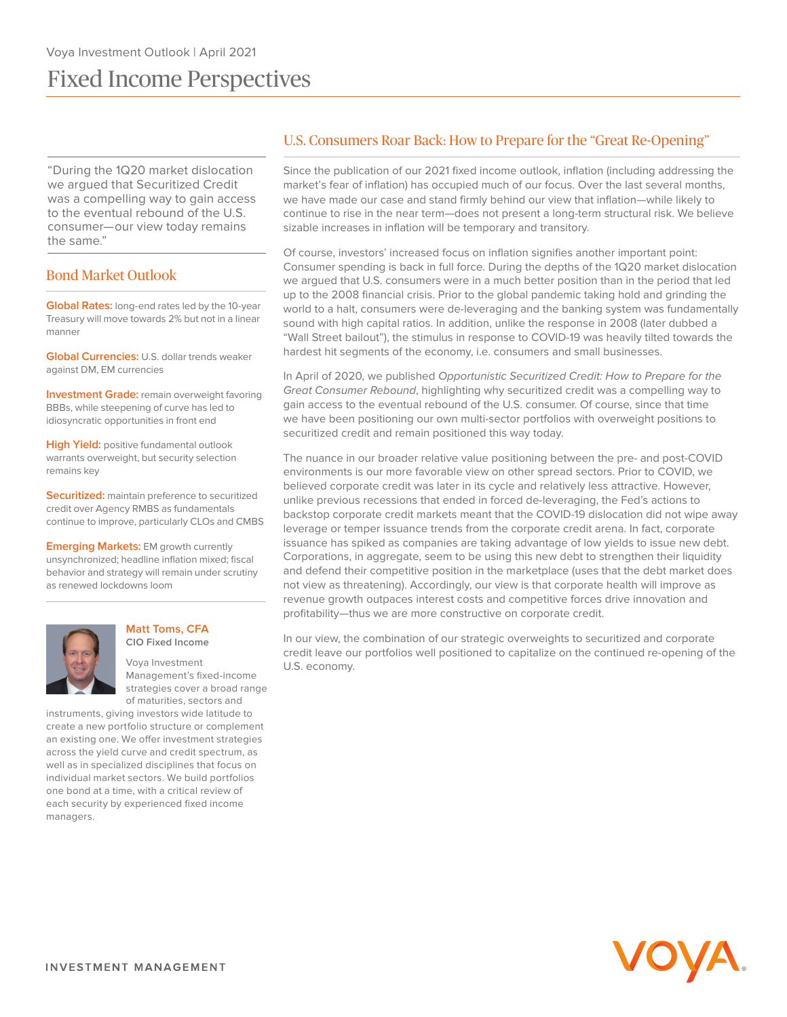# Fixed Income Perspectives

"During the 1Q20 market dislocation we argued that Securitized Credit was a compelling way to gain access to the eventual rebound of the U.S. consumer—our view today remains the same."

# Bond Market Outlook

**Global Rates:** long-end rates led by the 10-year Treasury will move towards 2% but not in a linear manner

**Global Currencies:** U.S. dollar trends weaker against DM, EM currencies

**Investment Grade:** remain overweight favoring BBBs, while steepening of curve has led to idiosyncratic opportunities in front end

**High Yield:** positive fundamental outlook warrants overweight, but security selection remains key

**Securitized:** maintain preference to securitized credit over Agency RMBS as fundamentals continue to improve, particularly CLOs and CMBS

**Emerging Markets: EM growth currently** unsynchronized; headline inflation mixed; fiscal behavior and strategy will remain under scrutiny as renewed lockdowns loom



#### **Matt Toms, CFA CIO Fixed Income**

Voya Investment Management's fixed-income strategies cover a broad range of maturities, sectors and

instruments, giving investors wide latitude to create a new portfolio structure or complement an existing one. We offer investment strategies across the yield curve and credit spectrum, as well as in specialized disciplines that focus on individual market sectors. We build portfolios one bond at a time, with a critical review of each security by experienced fixed income managers.

# U.S. Consumers Roar Back: How to Prepare for the "Great Re-Opening"

Since the publication of our 2021 fixed income outlook, inflation (including addressing the market's fear of inflation) has occupied much of our focus. Over the last several months, we have made our case and stand firmly behind our view that inflation—while likely to continue to rise in the near term—does not present a long-term structural risk. We believe sizable increases in inflation will be temporary and transitory.

Of course, investors' increased focus on inflation signifies another important point: Consumer spending is back in full force. During the depths of the 1Q20 market dislocation we argued that U.S. consumers were in a much better position than in the period that led up to the 2008 financial crisis. Prior to the global pandemic taking hold and grinding the world to a halt, consumers were de-leveraging and the banking system was fundamentally sound with high capital ratios. In addition, unlike the response in 2008 (later dubbed a "Wall Street bailout"), the stimulus in response to COVID-19 was heavily tilted towards the hardest hit segments of the economy, i.e. consumers and small businesses.

In April of 2020, we published Opportunistic Securitized Credit: How to Prepare for the Great Consumer Rebound, highlighting why securitized credit was a compelling way to gain access to the eventual rebound of the U.S. consumer. Of course, since that time we have been positioning our own multi-sector portfolios with overweight positions to securitized credit and remain positioned this way today.

The nuance in our broader relative value positioning between the pre- and post-COVID environments is our more favorable view on other spread sectors. Prior to COVID, we believed corporate credit was later in its cycle and relatively less attractive. However, unlike previous recessions that ended in forced de-leveraging, the Fed's actions to backstop corporate credit markets meant that the COVID-19 dislocation did not wipe away leverage or temper issuance trends from the corporate credit arena. In fact, corporate issuance has spiked as companies are taking advantage of low yields to issue new debt. Corporations, in aggregate, seem to be using this new debt to strengthen their liquidity and defend their competitive position in the marketplace (uses that the debt market does not view as threatening). Accordingly, our view is that corporate health will improve as revenue growth outpaces interest costs and competitive forces drive innovation and profitability—thus we are more constructive on corporate credit.

In our view, the combination of our strategic overweights to securitized and corporate credit leave our portfolios well positioned to capitalize on the continued re-opening of the U.S. economy.

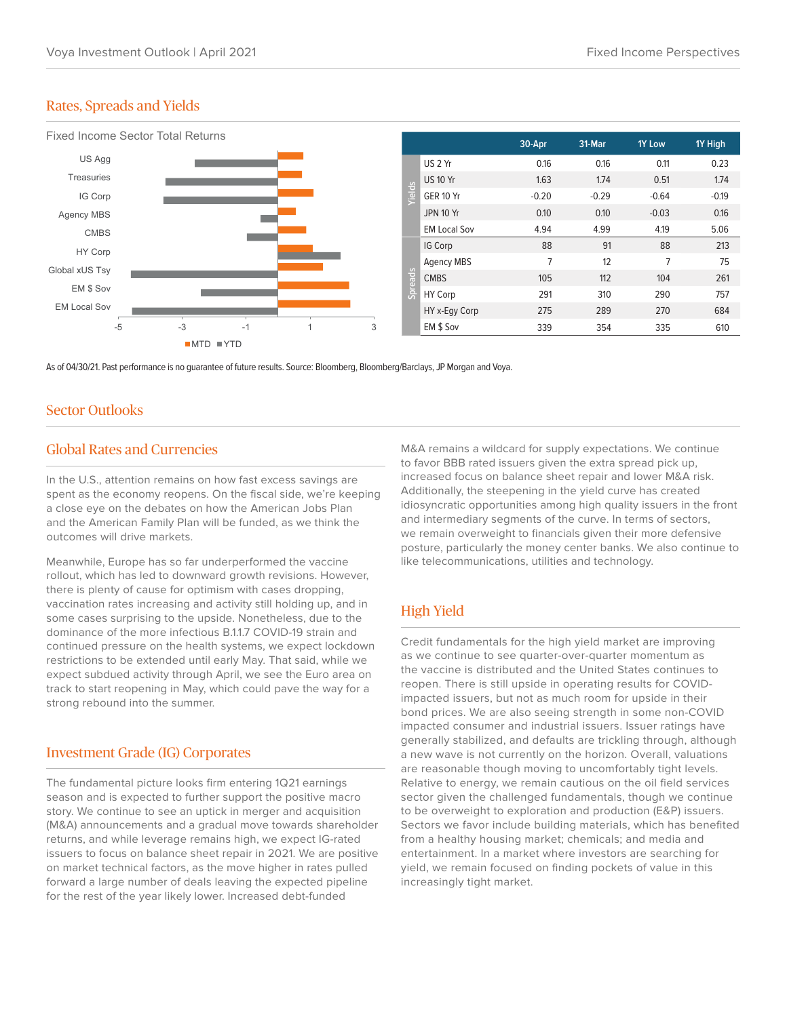### Rates, Spreads and Yields



As of 04/30/21. Past performance is no guarantee of future results. Source: Bloomberg, Bloomberg/Barclays, JP Morgan and Voya.

### Sector Outlooks

### Global Rates and Currencies

In the U.S., attention remains on how fast excess savings are spent as the economy reopens. On the fiscal side, we're keeping a close eye on the debates on how the American Jobs Plan and the American Family Plan will be funded, as we think the outcomes will drive markets.

Meanwhile, Europe has so far underperformed the vaccine rollout, which has led to downward growth revisions. However, there is plenty of cause for optimism with cases dropping, vaccination rates increasing and activity still holding up, and in some cases surprising to the upside. Nonetheless, due to the dominance of the more infectious B.1.1.7 COVID-19 strain and continued pressure on the health systems, we expect lockdown restrictions to be extended until early May. That said, while we expect subdued activity through April, we see the Euro area on track to start reopening in May, which could pave the way for a strong rebound into the summer.

#### Investment Grade (IG) Corporates

The fundamental picture looks firm entering 1Q21 earnings season and is expected to further support the positive macro story. We continue to see an uptick in merger and acquisition (M&A) announcements and a gradual move towards shareholder returns, and while leverage remains high, we expect IG-rated issuers to focus on balance sheet repair in 2021. We are positive on market technical factors, as the move higher in rates pulled forward a large number of deals leaving the expected pipeline for the rest of the year likely lower. Increased debt-funded

M&A remains a wildcard for supply expectations. We continue to favor BBB rated issuers given the extra spread pick up, increased focus on balance sheet repair and lower M&A risk. Additionally, the steepening in the yield curve has created idiosyncratic opportunities among high quality issuers in the front and intermediary segments of the curve. In terms of sectors, we remain overweight to financials given their more defensive posture, particularly the money center banks. We also continue to like telecommunications, utilities and technology.

## High Yield

Credit fundamentals for the high yield market are improving as we continue to see quarter-over-quarter momentum as the vaccine is distributed and the United States continues to reopen. There is still upside in operating results for COVIDimpacted issuers, but not as much room for upside in their bond prices. We are also seeing strength in some non-COVID impacted consumer and industrial issuers. Issuer ratings have generally stabilized, and defaults are trickling through, although a new wave is not currently on the horizon. Overall, valuations are reasonable though moving to uncomfortably tight levels. Relative to energy, we remain cautious on the oil field services sector given the challenged fundamentals, though we continue to be overweight to exploration and production (E&P) issuers. Sectors we favor include building materials, which has benefited from a healthy housing market; chemicals; and media and entertainment. In a market where investors are searching for yield, we remain focused on finding pockets of value in this increasingly tight market.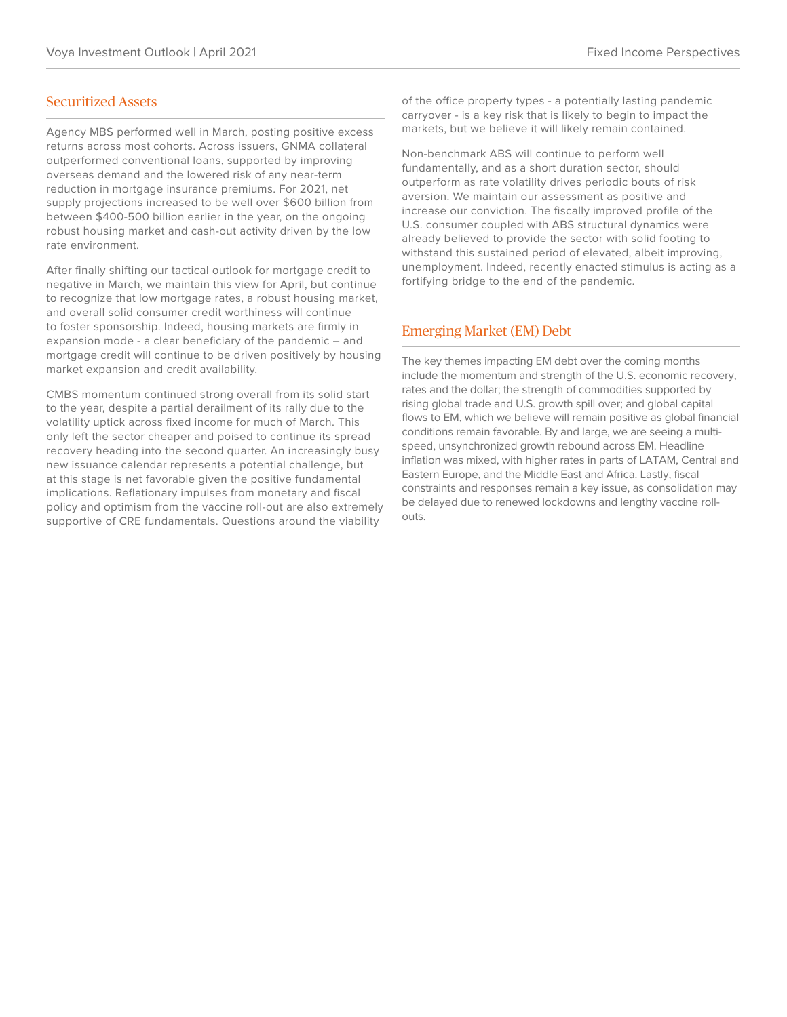#### Securitized Assets

Agency MBS performed well in March, posting positive excess returns across most cohorts. Across issuers, GNMA collateral outperformed conventional loans, supported by improving overseas demand and the lowered risk of any near-term reduction in mortgage insurance premiums. For 2021, net supply projections increased to be well over \$600 billion from between \$400-500 billion earlier in the year, on the ongoing robust housing market and cash-out activity driven by the low rate environment.

After finally shifting our tactical outlook for mortgage credit to negative in March, we maintain this view for April, but continue to recognize that low mortgage rates, a robust housing market, and overall solid consumer credit worthiness will continue to foster sponsorship. Indeed, housing markets are firmly in expansion mode - a clear beneficiary of the pandemic – and mortgage credit will continue to be driven positively by housing market expansion and credit availability.

CMBS momentum continued strong overall from its solid start to the year, despite a partial derailment of its rally due to the volatility uptick across fixed income for much of March. This only left the sector cheaper and poised to continue its spread recovery heading into the second quarter. An increasingly busy new issuance calendar represents a potential challenge, but at this stage is net favorable given the positive fundamental implications. Reflationary impulses from monetary and fiscal policy and optimism from the vaccine roll-out are also extremely supportive of CRE fundamentals. Questions around the viability

of the office property types - a potentially lasting pandemic carryover - is a key risk that is likely to begin to impact the markets, but we believe it will likely remain contained.

Non-benchmark ABS will continue to perform well fundamentally, and as a short duration sector, should outperform as rate volatility drives periodic bouts of risk aversion. We maintain our assessment as positive and increase our conviction. The fiscally improved profile of the U.S. consumer coupled with ABS structural dynamics were already believed to provide the sector with solid footing to withstand this sustained period of elevated, albeit improving, unemployment. Indeed, recently enacted stimulus is acting as a fortifying bridge to the end of the pandemic.

#### Emerging Market (EM) Debt

The key themes impacting EM debt over the coming months include the momentum and strength of the U.S. economic recovery, rates and the dollar; the strength of commodities supported by rising global trade and U.S. growth spill over; and global capital flows to EM, which we believe will remain positive as global financial conditions remain favorable. By and large, we are seeing a multispeed, unsynchronized growth rebound across EM. Headline inflation was mixed, with higher rates in parts of LATAM, Central and Eastern Europe, and the Middle East and Africa. Lastly, fiscal constraints and responses remain a key issue, as consolidation may be delayed due to renewed lockdowns and lengthy vaccine rollouts.